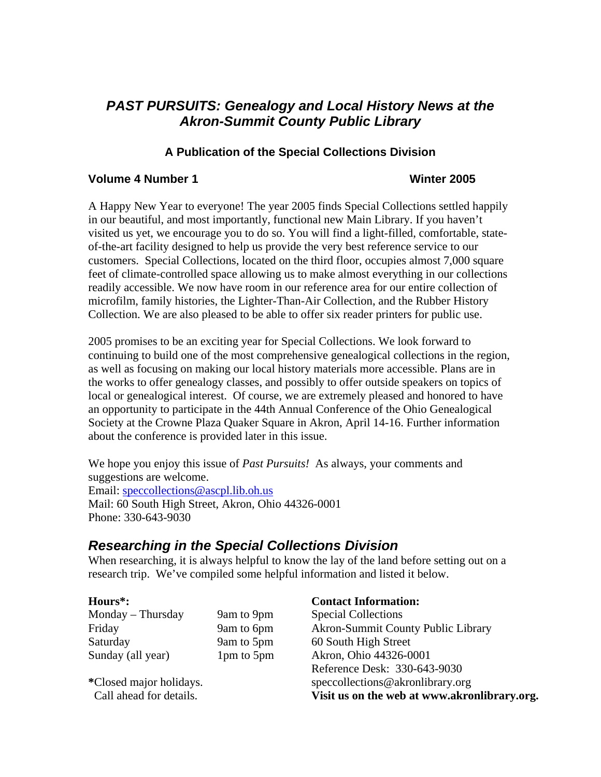# *PAST PURSUITS: Genealogy and Local History News at the Akron-Summit County Public Library*

## **A Publication of the Special Collections Division**

#### **Volume 4 Number 1 Winter 2005**

A Happy New Year to everyone! The year 2005 finds Special Collections settled happily in our beautiful, and most importantly, functional new Main Library. If you haven't visited us yet, we encourage you to do so. You will find a light-filled, comfortable, stateof-the-art facility designed to help us provide the very best reference service to our customers. Special Collections, located on the third floor, occupies almost 7,000 square feet of climate-controlled space allowing us to make almost everything in our collections readily accessible. We now have room in our reference area for our entire collection of microfilm, family histories, the Lighter-Than-Air Collection, and the Rubber History Collection. We are also pleased to be able to offer six reader printers for public use.

2005 promises to be an exciting year for Special Collections. We look forward to continuing to build one of the most comprehensive genealogical collections in the region, as well as focusing on making our local history materials more accessible. Plans are in the works to offer genealogy classes, and possibly to offer outside speakers on topics of local or genealogical interest. Of course, we are extremely pleased and honored to have an opportunity to participate in the 44th Annual Conference of the Ohio Genealogical Society at the Crowne Plaza Quaker Square in Akron, April 14-16. Further information about the conference is provided later in this issue.

We hope you enjoy this issue of *Past Pursuits!* As always, your comments and suggestions are welcome. Email: [speccollections@ascpl.lib.oh.us](mailto:speccollections@ascpl.lib.oh.us) Mail: 60 South High Street, Akron, Ohio 44326-0001 Phone: 330-643-9030

# *Researching in the Special Collections Division*

When researching, it is always helpful to know the lay of the land before setting out on a research trip. We've compiled some helpful information and listed it below.

Saturday 9am to 5pm 60 South High Street

#### **Hours\*: Contact Information:**

Monday – Thursday 9am to 9pm Special Collections Friday 9am to 6pm Akron-Summit County Public Library Sunday (all year) 1pm to 5pm Akron, Ohio 44326-0001 Reference Desk: 330-643-9030 **\***Closed major holidays. speccollections@akronlibrary.org Call ahead for details. **Visit us on the web at www.akronlibrary.org.**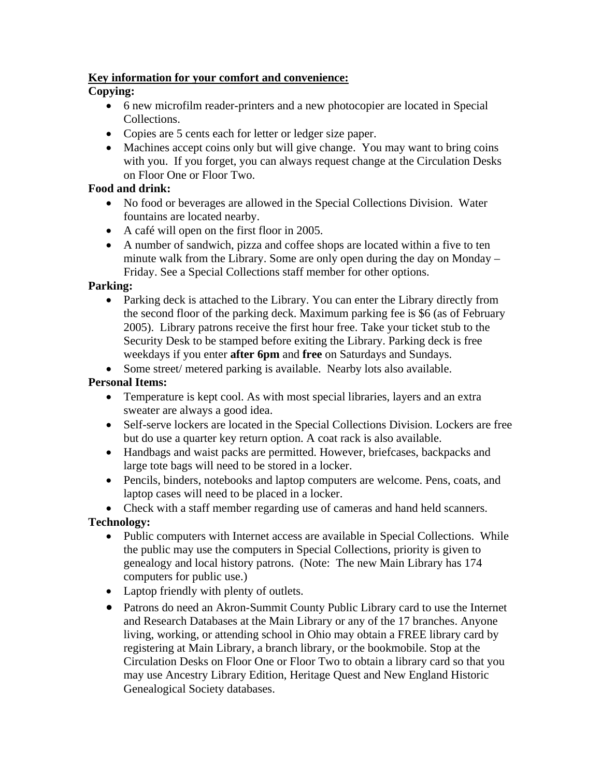## **Key information for your comfort and convenience:**

## **Copying:**

- 6 new microfilm reader-printers and a new photocopier are located in Special Collections.
- Copies are 5 cents each for letter or ledger size paper.
- Machines accept coins only but will give change. You may want to bring coins with you. If you forget, you can always request change at the Circulation Desks on Floor One or Floor Two.

## **Food and drink:**

- No food or beverages are allowed in the Special Collections Division. Water fountains are located nearby.
- A café will open on the first floor in 2005.
- A number of sandwich, pizza and coffee shops are located within a five to ten minute walk from the Library. Some are only open during the day on Monday – Friday. See a Special Collections staff member for other options.

## **Parking:**

- Parking deck is attached to the Library. You can enter the Library directly from the second floor of the parking deck. Maximum parking fee is \$6 (as of February 2005). Library patrons receive the first hour free. Take your ticket stub to the Security Desk to be stamped before exiting the Library. Parking deck is free weekdays if you enter **after 6pm** and **free** on Saturdays and Sundays.
- Some street/ metered parking is available. Nearby lots also available.

## **Personal Items:**

- Temperature is kept cool. As with most special libraries, layers and an extra sweater are always a good idea.
- Self-serve lockers are located in the Special Collections Division. Lockers are free but do use a quarter key return option. A coat rack is also available.
- Handbags and waist packs are permitted. However, briefcases, backpacks and large tote bags will need to be stored in a locker.
- Pencils, binders, notebooks and laptop computers are welcome. Pens, coats, and laptop cases will need to be placed in a locker.

• Check with a staff member regarding use of cameras and hand held scanners.

**Technology:** 

- Public computers with Internet access are available in Special Collections. While the public may use the computers in Special Collections, priority is given to genealogy and local history patrons. (Note: The new Main Library has 174 computers for public use.)
- Laptop friendly with plenty of outlets.
- Patrons do need an Akron-Summit County Public Library card to use the Internet and Research Databases at the Main Library or any of the 17 branches. Anyone living, working, or attending school in Ohio may obtain a FREE library card by registering at Main Library, a branch library, or the bookmobile. Stop at the Circulation Desks on Floor One or Floor Two to obtain a library card so that you may use Ancestry Library Edition, Heritage Quest and New England Historic Genealogical Society databases.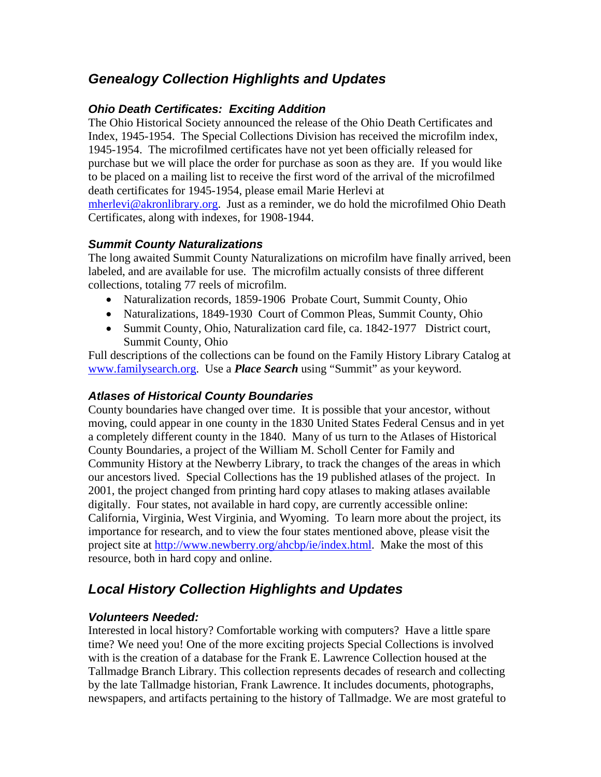# *Genealogy Collection Highlights and Updates*

## *Ohio Death Certificates: Exciting Addition*

The Ohio Historical Society announced the release of the Ohio Death Certificates and Index, 1945-1954. The Special Collections Division has received the microfilm index, 1945-1954. The microfilmed certificates have not yet been officially released for purchase but we will place the order for purchase as soon as they are. If you would like to be placed on a mailing list to receive the first word of the arrival of the microfilmed death certificates for 1945-1954, please email Marie Herlevi at [mherlevi@akronlibrary.org](mailto:mherlevi@akronlibrary.org). Just as a reminder, we do hold the microfilmed Ohio Death Certificates, along with indexes, for 1908-1944.

## *Summit County Naturalizations*

The long awaited Summit County Naturalizations on microfilm have finally arrived, been labeled, and are available for use. The microfilm actually consists of three different collections, totaling 77 reels of microfilm.

- Naturalization records, 1859-1906 Probate Court, Summit County, Ohio
- Naturalizations, 1849-1930 Court of Common Pleas, Summit County, Ohio
- Summit County, Ohio, Naturalization card file, ca. 1842-1977 District court, Summit County, Ohio

Full descriptions of the collections can be found on the Family History Library Catalog at [www.familysearch.org.](http://www.familysearch.org/) Use a *Place Search* using "Summit" as your keyword.

## *Atlases of Historical County Boundaries*

County boundaries have changed over time. It is possible that your ancestor, without moving, could appear in one county in the 1830 United States Federal Census and in yet a completely different county in the 1840. Many of us turn to the Atlases of Historical County Boundaries, a project of the William M. Scholl Center for Family and Community History at the Newberry Library, to track the changes of the areas in which our ancestors lived. Special Collections has the 19 published atlases of the project. In 2001, the project changed from printing hard copy atlases to making atlases available digitally. Four states, not available in hard copy, are currently accessible online: California, Virginia, West Virginia, and Wyoming. To learn more about the project, its importance for research, and to view the four states mentioned above, please visit the project site at [http://www.newberry.org/ahcbp/ie/index.html.](http://www.newberry.org/ahcbp/ie/index.html) Make the most of this resource, both in hard copy and online.

# *Local History Collection Highlights and Updates*

## *Volunteers Needed:*

Interested in local history? Comfortable working with computers? Have a little spare time? We need you! One of the more exciting projects Special Collections is involved with is the creation of a database for the Frank E. Lawrence Collection housed at the Tallmadge Branch Library. This collection represents decades of research and collecting by the late Tallmadge historian, Frank Lawrence. It includes documents, photographs, newspapers, and artifacts pertaining to the history of Tallmadge. We are most grateful to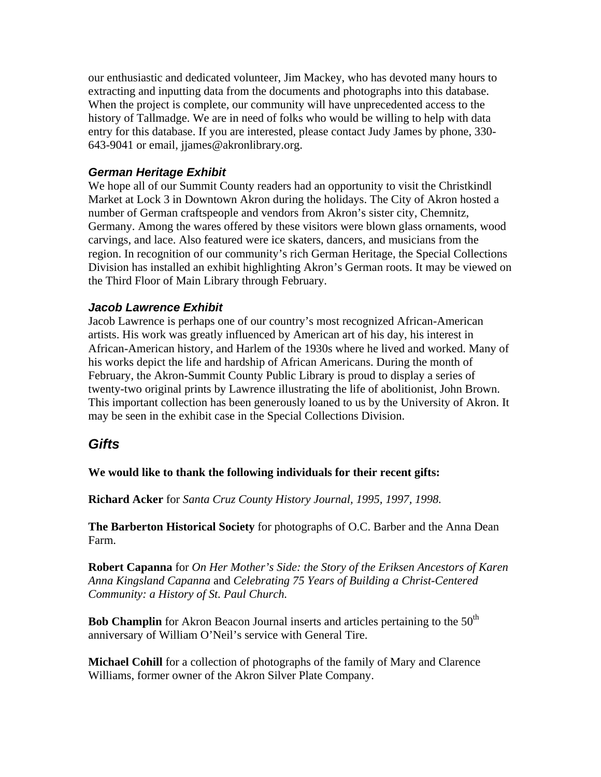our enthusiastic and dedicated volunteer, Jim Mackey, who has devoted many hours to extracting and inputting data from the documents and photographs into this database. When the project is complete, our community will have unprecedented access to the history of Tallmadge. We are in need of folks who would be willing to help with data entry for this database. If you are interested, please contact Judy James by phone, 330- 643-9041 or email, jjames@akronlibrary.org.

## *German Heritage Exhibit*

We hope all of our Summit County readers had an opportunity to visit the Christkindl Market at Lock 3 in Downtown Akron during the holidays. The City of Akron hosted a number of German craftspeople and vendors from Akron's sister city, Chemnitz, Germany. Among the wares offered by these visitors were blown glass ornaments, wood carvings, and lace. Also featured were ice skaters, dancers, and musicians from the region. In recognition of our community's rich German Heritage, the Special Collections Division has installed an exhibit highlighting Akron's German roots. It may be viewed on the Third Floor of Main Library through February.

## *Jacob Lawrence Exhibit*

Jacob Lawrence is perhaps one of our country's most recognized African-American artists. His work was greatly influenced by American art of his day, his interest in African-American history, and Harlem of the 1930s where he lived and worked. Many of his works depict the life and hardship of African Americans. During the month of February, the Akron-Summit County Public Library is proud to display a series of twenty-two original prints by Lawrence illustrating the life of abolitionist, John Brown. This important collection has been generously loaned to us by the University of Akron. It may be seen in the exhibit case in the Special Collections Division.

# *Gifts*

**We would like to thank the following individuals for their recent gifts:** 

**Richard Acker** for *Santa Cruz County History Journal, 1995, 1997, 1998.* 

**The Barberton Historical Society** for photographs of O.C. Barber and the Anna Dean Farm.

**Robert Capanna** for *On Her Mother's Side: the Story of the Eriksen Ancestors of Karen Anna Kingsland Capanna* and *Celebrating 75 Years of Building a Christ-Centered Community: a History of St. Paul Church.* 

**Bob Champlin** for Akron Beacon Journal inserts and articles pertaining to the 50<sup>th</sup> anniversary of William O'Neil's service with General Tire.

**Michael Cohill** for a collection of photographs of the family of Mary and Clarence Williams, former owner of the Akron Silver Plate Company.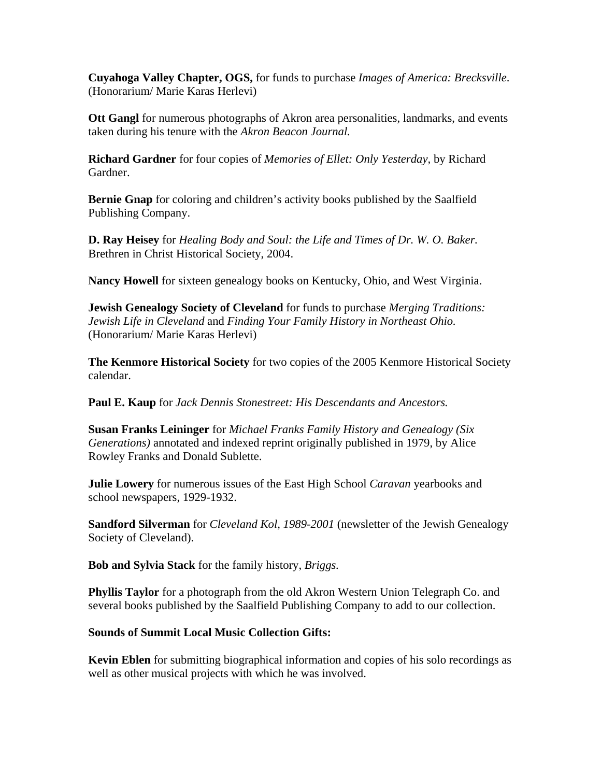**Cuyahoga Valley Chapter, OGS,** for funds to purchase *Images of America: Brecksville*. (Honorarium/ Marie Karas Herlevi)

**Ott Gangl** for numerous photographs of Akron area personalities, landmarks, and events taken during his tenure with the *Akron Beacon Journal.* 

**Richard Gardner** for four copies of *Memories of Ellet: Only Yesterday,* by Richard Gardner.

**Bernie Gnap** for coloring and children's activity books published by the Saalfield Publishing Company.

**D. Ray Heisey** for *Healing Body and Soul: the Life and Times of Dr. W. O. Baker.*  Brethren in Christ Historical Society, 2004.

**Nancy Howell** for sixteen genealogy books on Kentucky, Ohio, and West Virginia.

**Jewish Genealogy Society of Cleveland** for funds to purchase *Merging Traditions: Jewish Life in Cleveland* and *Finding Your Family History in Northeast Ohio.* (Honorarium/ Marie Karas Herlevi)

**The Kenmore Historical Society** for two copies of the 2005 Kenmore Historical Society calendar.

**Paul E. Kaup** for *Jack Dennis Stonestreet: His Descendants and Ancestors.* 

**Susan Franks Leininger** for *Michael Franks Family History and Genealogy (Six Generations)* annotated and indexed reprint originally published in 1979, by Alice Rowley Franks and Donald Sublette.

**Julie Lowery** for numerous issues of the East High School *Caravan* yearbooks and school newspapers, 1929-1932.

**Sandford Silverman** for *Cleveland Kol, 1989-2001* (newsletter of the Jewish Genealogy Society of Cleveland).

**Bob and Sylvia Stack** for the family history, *Briggs.* 

**Phyllis Taylor** for a photograph from the old Akron Western Union Telegraph Co. and several books published by the Saalfield Publishing Company to add to our collection.

## **Sounds of Summit Local Music Collection Gifts:**

**Kevin Eblen** for submitting biographical information and copies of his solo recordings as well as other musical projects with which he was involved.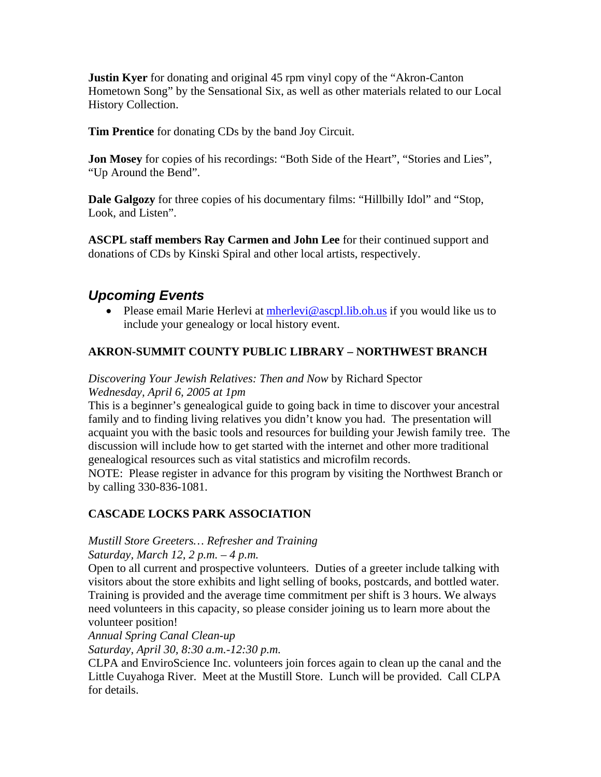**Justin Kyer** for donating and original 45 rpm vinyl copy of the "Akron-Canton" Hometown Song" by the Sensational Six, as well as other materials related to our Local History Collection.

**Tim Prentice** for donating CDs by the band Joy Circuit.

**Jon Mosey** for copies of his recordings: "Both Side of the Heart", "Stories and Lies", "Up Around the Bend".

**Dale Galgozy** for three copies of his documentary films: "Hillbilly Idol" and "Stop, Look, and Listen".

**ASCPL staff members Ray Carmen and John Lee** for their continued support and donations of CDs by Kinski Spiral and other local artists, respectively.

# *Upcoming Events*

• Please email Marie Herlevi at  $m$ herlevi@ascpl.lib.oh.us if you would like us to include your genealogy or local history event.

## **AKRON-SUMMIT COUNTY PUBLIC LIBRARY – NORTHWEST BRANCH**

## *Discovering Your Jewish Relatives: Then and Now* by Richard Spector *Wednesday, April 6, 2005 at 1pm*

This is a beginner's genealogical guide to going back in time to discover your ancestral family and to finding living relatives you didn't know you had. The presentation will acquaint you with the basic tools and resources for building your Jewish family tree. The discussion will include how to get started with the internet and other more traditional genealogical resources such as vital statistics and microfilm records.

NOTE: Please register in advance for this program by visiting the Northwest Branch or by calling 330-836-1081.

## **CASCADE LOCKS PARK ASSOCIATION**

## *Mustill Store Greeters… Refresher and Training*

*Saturday, March 12, 2 p.m. – 4 p.m.* 

Open to all current and prospective volunteers. Duties of a greeter include talking with visitors about the store exhibits and light selling of books, postcards, and bottled water. Training is provided and the average time commitment per shift is 3 hours. We always need volunteers in this capacity, so please consider joining us to learn more about the volunteer position!

*Annual Spring Canal Clean-up* 

*Saturday, April 30, 8:30 a.m.-12:30 p.m.* 

CLPA and EnviroScience Inc. volunteers join forces again to clean up the canal and the Little Cuyahoga River. Meet at the Mustill Store. Lunch will be provided. Call CLPA for details.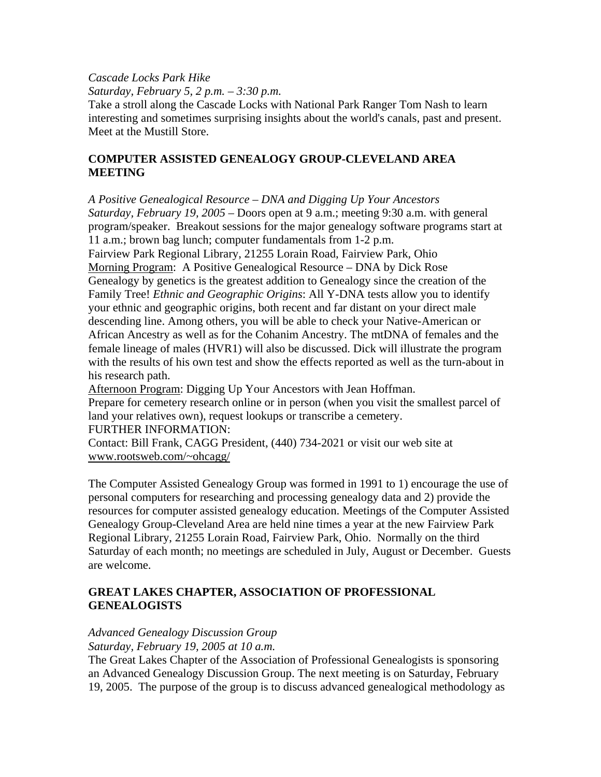## *Cascade Locks Park Hike*

*Saturday, February 5, 2 p.m. – 3:30 p.m.* 

Take a stroll along the Cascade Locks with National Park Ranger Tom Nash to learn interesting and sometimes surprising insights about the world's canals, past and present. Meet at the Mustill Store.

## **COMPUTER ASSISTED GENEALOGY GROUP-CLEVELAND AREA MEETING**

*A Positive Genealogical Resource – DNA and Digging Up Your Ancestors Saturday, February 19, 2005* – Doors open at 9 a.m.; meeting 9:30 a.m. with general program/speaker. Breakout sessions for the major genealogy software programs start at 11 a.m.; brown bag lunch; computer fundamentals from 1-2 p.m. Fairview Park Regional Library, 21255 Lorain Road, Fairview Park, Ohio Morning Program: A Positive Genealogical Resource – DNA by Dick Rose Genealogy by genetics is the greatest addition to Genealogy since the creation of the Family Tree! *Ethnic and Geographic Origins*: All Y-DNA tests allow you to identify your ethnic and geographic origins, both recent and far distant on your direct male descending line. Among others, you will be able to check your Native-American or African Ancestry as well as for the Cohanim Ancestry. The mtDNA of females and the female lineage of males (HVR1) will also be discussed. Dick will illustrate the program with the results of his own test and show the effects reported as well as the turn-about in his research path.

Afternoon Program: Digging Up Your Ancestors with Jean Hoffman. Prepare for cemetery research online or in person (when you visit the smallest parcel of land your relatives own), request lookups or transcribe a cemetery. FURTHER INFORMATION:

Contact: Bill Frank, CAGG President, (440) 734-2021 or visit our web site at www.rootsweb.com/~ohcagg/

The Computer Assisted Genealogy Group was formed in 1991 to 1) encourage the use of personal computers for researching and processing genealogy data and 2) provide the resources for computer assisted genealogy education. Meetings of the Computer Assisted Genealogy Group-Cleveland Area are held nine times a year at the new Fairview Park Regional Library, 21255 Lorain Road, Fairview Park, Ohio. Normally on the third Saturday of each month; no meetings are scheduled in July, August or December. Guests are welcome.

## **GREAT LAKES CHAPTER, ASSOCIATION OF PROFESSIONAL GENEALOGISTS**

## *Advanced Genealogy Discussion Group*

*Saturday, February 19, 2005 at 10 a.m.* 

The Great Lakes Chapter of the Association of Professional Genealogists is sponsoring an Advanced Genealogy Discussion Group. The next meeting is on Saturday, February 19, 2005. The purpose of the group is to discuss advanced genealogical methodology as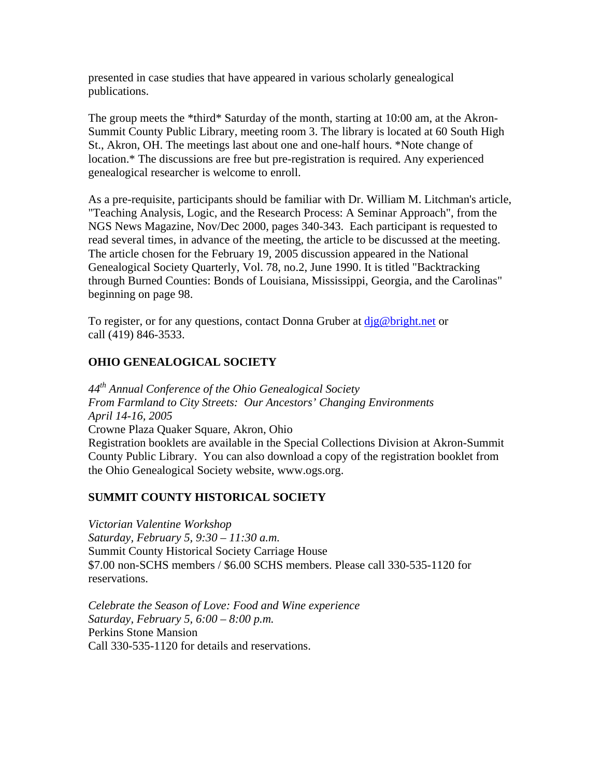presented in case studies that have appeared in various scholarly genealogical publications.

The group meets the \*third\* Saturday of the month, starting at 10:00 am, at the Akron-Summit County Public Library, meeting room 3. The library is located at 60 South High St., Akron, OH. The meetings last about one and one-half hours. \*Note change of location.\* The discussions are free but pre-registration is required. Any experienced genealogical researcher is welcome to enroll.

As a pre-requisite, participants should be familiar with Dr. William M. Litchman's article, "Teaching Analysis, Logic, and the Research Process: A Seminar Approach", from the NGS News Magazine, Nov/Dec 2000, pages 340-343. Each participant is requested to read several times, in advance of the meeting, the article to be discussed at the meeting. The article chosen for the February 19, 2005 discussion appeared in the National Genealogical Society Quarterly, Vol. 78, no.2, June 1990. It is titled "Backtracking through Burned Counties: Bonds of Louisiana, Mississippi, Georgia, and the Carolinas" beginning on page 98.

To register, or for any questions, contact Donna Gruber at dig@bright.net or call (419) 846-3533.

## **OHIO GENEALOGICAL SOCIETY**

*44th Annual Conference of the Ohio Genealogical Society From Farmland to City Streets: Our Ancestors' Changing Environments April 14-16, 2005* Crowne Plaza Quaker Square, Akron, Ohio Registration booklets are available in the Special Collections Division at Akron-Summit County Public Library. You can also download a copy of the registration booklet from the Ohio Genealogical Society website, www.ogs.org.

## **SUMMIT COUNTY HISTORICAL SOCIETY**

*Victorian Valentine Workshop Saturday, February 5, 9:30 – 11:30 a.m.*  Summit County Historical Society Carriage House \$7.00 non-SCHS members / \$6.00 SCHS members. Please call 330-535-1120 for reservations.

*Celebrate the Season of Love: Food and Wine experience Saturday, February 5, 6:00 – 8:00 p.m.*  Perkins Stone Mansion Call 330-535-1120 for details and reservations.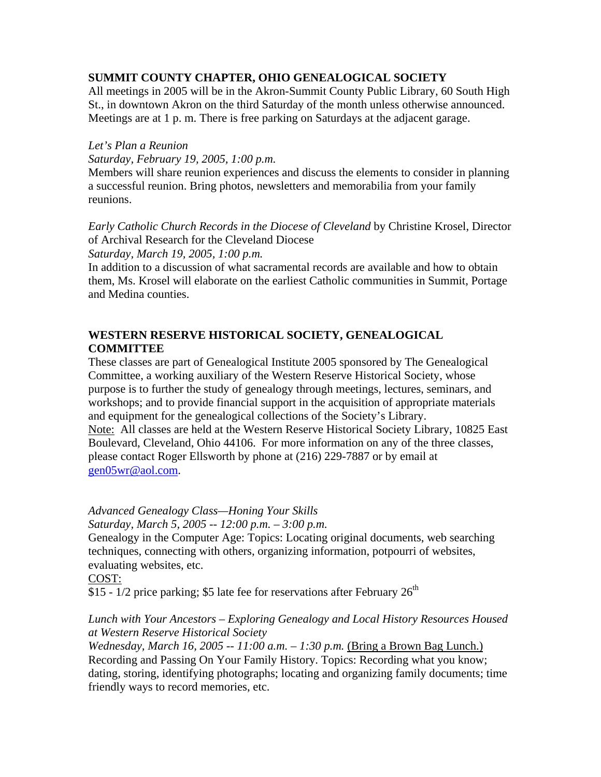## **SUMMIT COUNTY CHAPTER, OHIO GENEALOGICAL SOCIETY**

All meetings in 2005 will be in the Akron-Summit County Public Library, 60 South High St., in downtown Akron on the third Saturday of the month unless otherwise announced. Meetings are at 1 p. m. There is free parking on Saturdays at the adjacent garage.

## *Let's Plan a Reunion*

*Saturday, February 19, 2005, 1:00 p.m.* 

Members will share reunion experiences and discuss the elements to consider in planning a successful reunion. Bring photos, newsletters and memorabilia from your family reunions.

*Early Catholic Church Records in the Diocese of Cleveland* by Christine Krosel, Director of Archival Research for the Cleveland Diocese *Saturday, March 19, 2005, 1:00 p.m.* 

In addition to a discussion of what sacramental records are available and how to obtain them, Ms. Krosel will elaborate on the earliest Catholic communities in Summit, Portage and Medina counties.

## **WESTERN RESERVE HISTORICAL SOCIETY, GENEALOGICAL COMMITTEE**

These classes are part of Genealogical Institute 2005 sponsored by The Genealogical Committee, a working auxiliary of the Western Reserve Historical Society, whose purpose is to further the study of genealogy through meetings, lectures, seminars, and workshops; and to provide financial support in the acquisition of appropriate materials and equipment for the genealogical collections of the Society's Library. Note: All classes are held at the Western Reserve Historical Society Library, 10825 East Boulevard, Cleveland, Ohio 44106. For more information on any of the three classes, please contact Roger Ellsworth by phone at (216) 229-7887 or by email at [gen05wr@aol.com](mailto:gen05wr@aol.com).

*Advanced Genealogy Class—Honing Your Skills Saturday, March 5, 2005 -- 12:00 p.m. – 3:00 p.m.*  Genealogy in the Computer Age: Topics: Locating original documents, web searching techniques, connecting with others, organizing information, potpourri of websites, evaluating websites, etc. COST:

\$15 - 1/2 price parking; \$5 late fee for reservations after February  $26<sup>th</sup>$ 

## *Lunch with Your Ancestors – Exploring Genealogy and Local History Resources Housed at Western Reserve Historical Society*

*Wednesday, March 16, 2005 -- 11:00 a.m. – 1:30 p.m.* (Bring a Brown Bag Lunch.) Recording and Passing On Your Family History. Topics: Recording what you know; dating, storing, identifying photographs; locating and organizing family documents; time friendly ways to record memories, etc.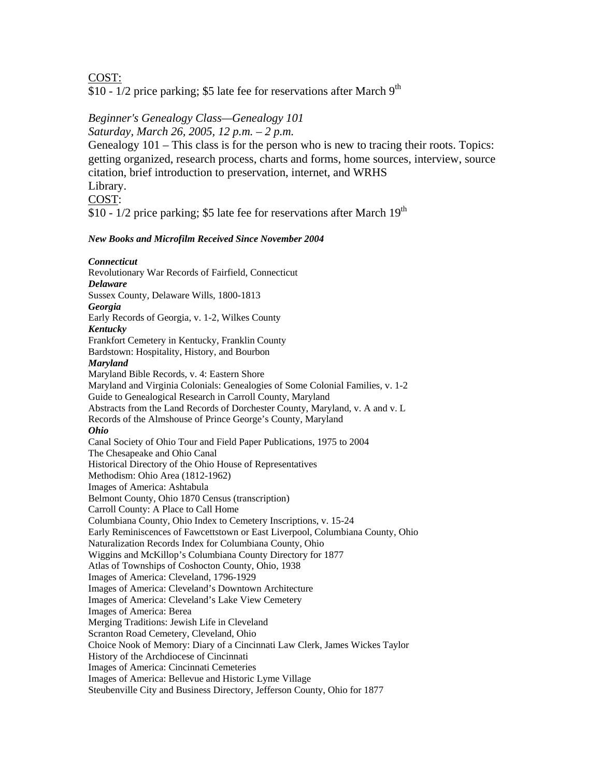COST:

\$10 -  $1/2$  price parking; \$5 late fee for reservations after March  $9<sup>th</sup>$ 

### *Beginner's Genealogy Class—Genealogy 101*

*Saturday, March 26, 2005, 12 p.m. – 2 p.m.* 

Genealogy 101 – This class is for the person who is new to tracing their roots. Topics: getting organized, research process, charts and forms, home sources, interview, source citation, brief introduction to preservation, internet, and WRHS Library.

### COST:

\$10 - 1/2 price parking; \$5 late fee for reservations after March 19<sup>th</sup>

#### *New Books and Microfilm Received Since November 2004*

*Connecticut*  Revolutionary War Records of Fairfield, Connecticut *Delaware*  Sussex County, Delaware Wills, 1800-1813 *Georgia*  Early Records of Georgia, v. 1-2, Wilkes County *Kentucky*  Frankfort Cemetery in Kentucky, Franklin County Bardstown: Hospitality, History, and Bourbon *Maryland*  Maryland Bible Records, v. 4: Eastern Shore Maryland and Virginia Colonials: Genealogies of Some Colonial Families, v. 1-2 Guide to Genealogical Research in Carroll County, Maryland Abstracts from the Land Records of Dorchester County, Maryland, v. A and v. L Records of the Almshouse of Prince George's County, Maryland *Ohio*  Canal Society of Ohio Tour and Field Paper Publications, 1975 to 2004 The Chesapeake and Ohio Canal Historical Directory of the Ohio House of Representatives Methodism: Ohio Area (1812-1962) Images of America: Ashtabula Belmont County, Ohio 1870 Census (transcription) Carroll County: A Place to Call Home Columbiana County, Ohio Index to Cemetery Inscriptions, v. 15-24 Early Reminiscences of Fawcettstown or East Liverpool, Columbiana County, Ohio Naturalization Records Index for Columbiana County, Ohio Wiggins and McKillop's Columbiana County Directory for 1877 Atlas of Townships of Coshocton County, Ohio, 1938 Images of America: Cleveland, 1796-1929 Images of America: Cleveland's Downtown Architecture Images of America: Cleveland's Lake View Cemetery Images of America: Berea Merging Traditions: Jewish Life in Cleveland Scranton Road Cemetery, Cleveland, Ohio Choice Nook of Memory: Diary of a Cincinnati Law Clerk, James Wickes Taylor History of the Archdiocese of Cincinnati Images of America: Cincinnati Cemeteries Images of America: Bellevue and Historic Lyme Village Steubenville City and Business Directory, Jefferson County, Ohio for 1877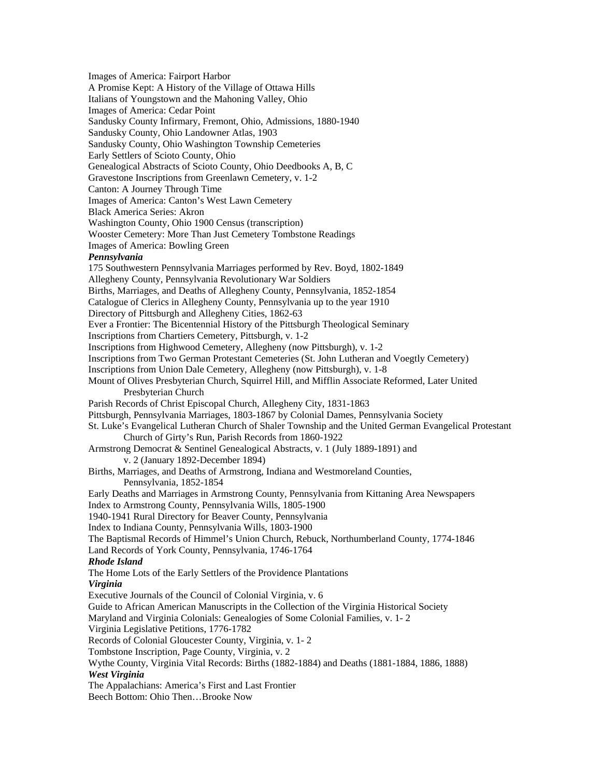Images of America: Fairport Harbor A Promise Kept: A History of the Village of Ottawa Hills Italians of Youngstown and the Mahoning Valley, Ohio Images of America: Cedar Point Sandusky County Infirmary, Fremont, Ohio, Admissions, 1880-1940 Sandusky County, Ohio Landowner Atlas, 1903 Sandusky County, Ohio Washington Township Cemeteries Early Settlers of Scioto County, Ohio Genealogical Abstracts of Scioto County, Ohio Deedbooks A, B, C Gravestone Inscriptions from Greenlawn Cemetery, v. 1-2 Canton: A Journey Through Time Images of America: Canton's West Lawn Cemetery Black America Series: Akron Washington County, Ohio 1900 Census (transcription) Wooster Cemetery: More Than Just Cemetery Tombstone Readings Images of America: Bowling Green *Pennsylvania*  175 Southwestern Pennsylvania Marriages performed by Rev. Boyd, 1802-1849 Allegheny County, Pennsylvania Revolutionary War Soldiers Births, Marriages, and Deaths of Allegheny County, Pennsylvania, 1852-1854 Catalogue of Clerics in Allegheny County, Pennsylvania up to the year 1910 Directory of Pittsburgh and Allegheny Cities, 1862-63 Ever a Frontier: The Bicentennial History of the Pittsburgh Theological Seminary Inscriptions from Chartiers Cemetery, Pittsburgh, v. 1-2 Inscriptions from Highwood Cemetery, Allegheny (now Pittsburgh), v. 1-2 Inscriptions from Two German Protestant Cemeteries (St. John Lutheran and Voegtly Cemetery) Inscriptions from Union Dale Cemetery, Allegheny (now Pittsburgh), v. 1-8 Mount of Olives Presbyterian Church, Squirrel Hill, and Mifflin Associate Reformed, Later United Presbyterian Church Parish Records of Christ Episcopal Church, Allegheny City, 1831-1863 Pittsburgh, Pennsylvania Marriages, 1803-1867 by Colonial Dames, Pennsylvania Society St. Luke's Evangelical Lutheran Church of Shaler Township and the United German Evangelical Protestant Church of Girty's Run, Parish Records from 1860-1922 Armstrong Democrat & Sentinel Genealogical Abstracts, v. 1 (July 1889-1891) and v. 2 (January 1892-December 1894) Births, Marriages, and Deaths of Armstrong, Indiana and Westmoreland Counties, Pennsylvania, 1852-1854 Early Deaths and Marriages in Armstrong County, Pennsylvania from Kittaning Area Newspapers Index to Armstrong County, Pennsylvania Wills, 1805-1900 1940-1941 Rural Directory for Beaver County, Pennsylvania Index to Indiana County, Pennsylvania Wills, 1803-1900 The Baptismal Records of Himmel's Union Church, Rebuck, Northumberland County, 1774-1846 Land Records of York County, Pennsylvania, 1746-1764 *Rhode Island*  The Home Lots of the Early Settlers of the Providence Plantations *Virginia*  Executive Journals of the Council of Colonial Virginia, v. 6 Guide to African American Manuscripts in the Collection of the Virginia Historical Society Maryland and Virginia Colonials: Genealogies of Some Colonial Families, v. 1- 2 Virginia Legislative Petitions, 1776-1782 Records of Colonial Gloucester County, Virginia, v. 1- 2 Tombstone Inscription, Page County, Virginia, v. 2 Wythe County, Virginia Vital Records: Births (1882-1884) and Deaths (1881-1884, 1886, 1888) *West Virginia*  The Appalachians: America's First and Last Frontier Beech Bottom: Ohio Then…Brooke Now